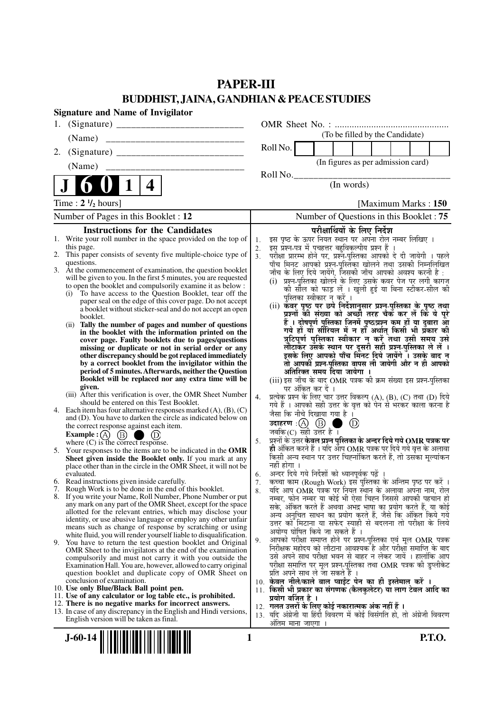## **PAPER-III BUDDHIST, JAINA, GANDHIAN & PEACE STUDIES**

| <b>Signature and Name of Invigilator</b>                                                                                                 |                                                                                                                                    |
|------------------------------------------------------------------------------------------------------------------------------------------|------------------------------------------------------------------------------------------------------------------------------------|
| 1.                                                                                                                                       |                                                                                                                                    |
| (Name)                                                                                                                                   | (To be filled by the Candidate)                                                                                                    |
| 2.                                                                                                                                       | Roll No.                                                                                                                           |
|                                                                                                                                          | (In figures as per admission card)                                                                                                 |
|                                                                                                                                          | Roll No.                                                                                                                           |
| $\mathbf 1$<br>4                                                                                                                         | (In words)                                                                                                                         |
| Time : $2 \frac{1}{2}$ hours]                                                                                                            | [Maximum Marks: 150]                                                                                                               |
| Number of Pages in this Booklet: 12                                                                                                      | Number of Questions in this Booklet: 75                                                                                            |
| <b>Instructions for the Candidates</b>                                                                                                   | परीक्षार्थियों के लिए निर्देश                                                                                                      |
| 1. Write your roll number in the space provided on the top of<br>this page.                                                              | इस पृष्ठ के ऊपर नियत स्थान पर अपना रोल नम्बर लिखिए ।<br>1.<br>इस् प्रश्न-पत्र में पुचहत्तर बहुविकल्पीय प्रश्न हैं ।<br>2.          |
| 2. This paper consists of seventy five multiple-choice type of                                                                           | परीक्षा प्रारम्भ होने पर, प्रश्न-पुस्तिका आपको दे दी जायेगी । पहले<br>3 <sub>1</sub>                                               |
| questions.<br>3. At the commencement of examination, the question booklet                                                                | पाँच मिनट आपको प्रश्न-पुस्तिका खोलने तथा उसकी निम्नलिखित<br>जाँच के लिए दिये जायेंगे, जिसकी जाँच आपको अवश्य करनी है :              |
| will be given to you. In the first 5 minutes, you are requested<br>to open the booklet and compulsorily examine it as below :            | (i) प्रश्न-पुरितका खोलने के लिए उसके कवर पेज पर लगी कागज                                                                           |
| To have access to the Question Booklet, tear off the<br>(i)                                                                              | की सील को फाड़ लें । खुली हुई या बिना स्टीकर-सील की<br>पुस्तिका स्वीकार न करें ।                                                   |
| paper seal on the edge of this cover page. Do not accept<br>a booklet without sticker-seal and do not accept an open                     | (ii) कवर पृष्ठ पर छपे निर्देशानुसार प्रश्न-पुस्तिका के पृष्ठ तथा                                                                   |
| booklet.                                                                                                                                 | प्रश्नों की संख्या को अच्छी तरह चैक कर लें कि ये पूरे<br>हैं । दोषपूर्ण पुस्तिका जिनमें पृष्ठ/प्रश्न कम हों या दुबारा आ            |
| Tally the number of pages and number of questions<br>(i)<br>in the booklet with the information printed on the                           | गये हों यो सीरियल में न हों अर्थात् किसी भी प्रँकार की                                                                             |
| cover page. Faulty booklets due to pages/questions<br>missing or duplicate or not in serial order or any                                 | त्रुटिपूर्ण पुस्तिका स्वीकार न करें तथा उसी समय उसे<br>लौटाकर उसके स्थान पर दुसरी सही प्रश्न-पुस्तिका ले लें ।                     |
| other discrepancy should be got replaced immediately                                                                                     | इसके लिए आपको पाँच मिंनट दिये जायेंगे ँ। उसके बाद न                                                                                |
| by a correct booklet from the invigilator within the<br>period of 5 minutes. Afterwards, neither the Question                            | तो आपकी प्रश्न-पुस्तिका वापस ली जायेगी और न ही आपको<br>अतिरिक्त समय दिया जायेगा ।                                                  |
| Booklet will be replaced nor any extra time will be                                                                                      | (iii) इस जाँच के बाद OMR पत्रक की क्रम संख्या इस प्रश्न-पुस्तिका                                                                   |
| given.<br>(iii) After this verification is over, the OMR Sheet Number                                                                    | पर अंकित कर दें ।<br>प्रत्येक प्रश्न के लिए चार उत्तर विकल्प (A), (B), (C) तथा (D) दिये<br>4.                                      |
| should be entered on this Test Booklet.                                                                                                  | गये हैं । आपको सही उत्तर के वृत्त को पेन से भरकर काला करना है                                                                      |
| 4. Each item has four alternative responses marked $(A)$ , $(B)$ , $(C)$<br>and (D). You have to darken the circle as indicated below on | जैसा कि नीचे दिखाया गया है ।                                                                                                       |
| the correct response against each item.                                                                                                  | उदाहरण $\cdot$ $\textcircled{A}$ $\textcircled{B}$ (<br>$\circledcirc$<br>जबकि $(C)$ सही उत्तर है।                                 |
| Example : (A) $(B)$<br>$\bigcirc$ (D)<br>where $(C)$ is the correct response.                                                            | प्रश्नों के उत्तर केवल प्रश्न पुस्तिका के अन्दर दिये गये OMR पत्रक पर<br>5.                                                        |
| 5. Your responses to the items are to be indicated in the OMR<br>Sheet given inside the Booklet only. If you mark at any                 | ही अंकित करने हैं । यदि ऑप OMR पत्रक पर दिये गये वृत्त के अलावा<br>किसी अन्य स्थान पर उत्तर चिह्नांकित करते हैं, तो उसका मूल्यांकन |
| place other than in the circle in the OMR Sheet, it will not be                                                                          | नहीं होगा ।                                                                                                                        |
| evaluated.<br>6. Read instructions given inside carefully.                                                                               | अन्दर दिये गये निर्देशों को ध्यानपूर्वक पढ़ें ।<br>6.<br>कृत्वा काम (Rough Work) इस पुस्तिका के अन्तिम पृष्ठ पर करें ।<br>7.       |
| 7. Rough Work is to be done in the end of this booklet.                                                                                  | र्याद आप OMR पत्रक पर नियत स्थान के अलावा अपना नाम, रोल<br>8.                                                                      |
| 8. If you write your Name, Roll Number, Phone Number or put<br>any mark on any part of the OMR Sheet, except for the space               | नम्बर, फोन नम्बर या कोई भी ऐसा चिह्न जिससे आपकी पहचान हो<br>सके, अंकित करते हैं अथवा अभद्र भाषा का प्रयोग करते हैं, या कोई         |
| allotted for the relevant entries, which may disclose your<br>identity, or use abusive language or employ any other unfair               | अन्य अनुचित साधन का प्रयोग करते हैं, जैसे कि अंकित किये गये                                                                        |
| means such as change of response by scratching or using                                                                                  | उत्तर को मिटाना या सफेद स्याही से बदलना तो परीक्षा के लिये<br>अयोग्य घोषित किये जा सकते हैं ।                                      |
| white fluid, you will render yourself liable to disqualification.<br>9. You have to return the test question booklet and Original        | आपको परीक्षा समाप्त होने पर प्रश्न-पुस्तिका एवं मूल OMR पत्रक<br>9.                                                                |
| OMR Sheet to the invigilators at the end of the examination<br>compulsorily and must not carry it with you outside the                   | निरीक्षक महोदय को लौटाना आवश्यक है और परीक्षा समाप्ति के बाद<br>उसे अपने साथ परीक्षा भवन से बाहर न लेकर जायें । हालांकि आप         |
| Examination Hall. You are, however, allowed to carry original                                                                            | परीक्षा समाप्ति पर मूल प्रश्न-पुस्तिका तथा OMR पत्रक की डुप्लीकेट                                                                  |
| question booklet and duplicate copy of OMR Sheet on<br>conclusion of examination.                                                        | प्रति अपने साथ ले जा सकते हैं ।<br>10. केवल नीले/काले बाल प्वाईंट पेन का ही इस्तेमाल करें ।                                        |
| 10. Use only Blue/Black Ball point pen.                                                                                                  | 11. किसी भी प्रकार का संगणक (कैलकुलेटर) या लाग टेबल आदि का                                                                         |
| 11. Use of any calculator or log table etc., is prohibited.<br>12. There is no negative marks for incorrect answers.                     | प्रयोग वर्जित है ।<br>12.  गलत उत्तरों के लिए कोई नकारात्मक अंक नहीं हैं ।                                                         |
| 13. In case of any discrepancy in the English and Hindi versions,<br>English version will be taken as final.                             | 13. यदि अंग्रेजी या हिंदी विवरण में कोई विसंगति हो, तो अंग्रेजी विवरण                                                              |
|                                                                                                                                          | अंतिम माना जाएगा ।                                                                                                                 |
| 1<br>$J-60-14$                                                                                                                           | <b>P.T.O.</b>                                                                                                                      |

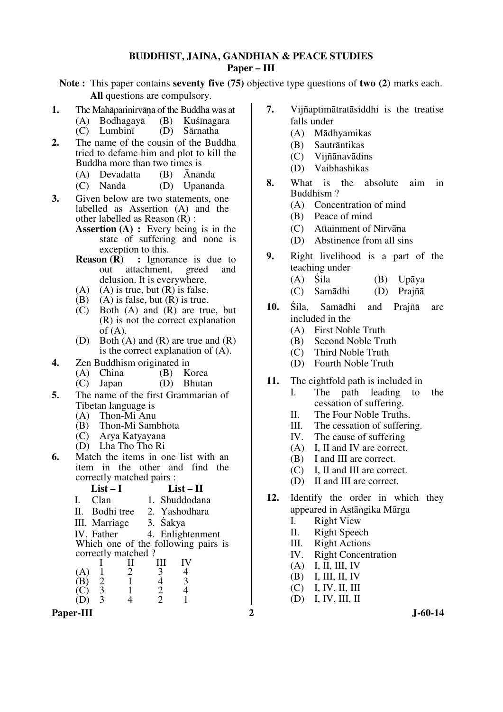#### **BUDDHIST, JAINA, GANDHIAN & PEACE STUDIES Paper – III**

**Note :** This paper contains **seventy five (75)** objective type questions of **two (2)** marks each. **All** questions are compulsory.

- **1.** The Mahāparinirvāna of the Buddha was at (A) Bodhagayā (B) Kuśīnagara
	- (B) Kuśīnagara<br>(D) Sārnatha
	- $(C)$  Lumbinī
- **2.** The name of the cousin of the Buddha tried to defame him and plot to kill the Buddha more than two times is
	- (A) Devadatta (B) Ānanda
	- (C) Nanda (D) Upananda
- **3.** Given below are two statements, one labelled as Assertion (A) and the other labelled as Reason (R) :
	- **Assertion (A) :** Every being is in the state of suffering and none is  $\frac{1}{2}$  exception to this.<br>Reason  $(R)$ : Ignora
	- **:** Ignorance is due to achment. greed and out attachment, delusion. It is everywhere.
	- (A) (A) is true, but (R) is false.<br>(B) (A) is false, but (R) is true.
	- (B) (A) is false, but  $(R)$  is true.<br>(C) Both  $(A)$  and  $(R)$  are tru
	- Both  $(A)$  and  $(R)$  are true, but (R) is not the correct explanation  $of (A)$ .
	- (D) Both (A) and (R) are true and (R) is the correct explanation of (A).
- **4.** Zen Buddhism originated in<br>(A) China (B) Korea
	- (A) China (B) Korea<br>(C) Japan (D) Bhutan
	- $(C)$  Japan
- **5.** The name of the first Grammarian of Tibetan language is
	- (A) Thon-Mi Anu
	- (B) Thon-Mi Sambhota
	- (C) Arya Katyayana
	- (D) Lha Tho Tho Ri

(D) 3 4 2 1

**6.** Match the items in one list with an item in the other and find the correctly matched pairs :



Paper-III 2 J-60-14

- **7.** Vijñaptimātratāsiddhi is the treatise falls under
	- (A) Mādhyamikas
	- (B) Sautrāntikas
	- (C) Vijñānavādins
	- (D) Vaibhashikas
- **8.** What is the absolute aim in Buddhism ?
	- (A) Concentration of mind
	- (B) Peace of mind
	- $(C)$  Attainment of Nirvāna
	- (D) Abstinence from all sins
- **9.** Right livelihood is a part of the teaching under
	- (A) Śila (B) Upāya
	- (C) Samādhi (D) Prajñā
- **10.** Śila, Samādhi and Prajñā are included in the
	- (A) First Noble Truth
	- (B) Second Noble Truth
	- (C) Third Noble Truth
	- (D) Fourth Noble Truth
- **11.** The eightfold path is included in
	- I. The path leading to the cessation of suffering.
	- II. The Four Noble Truths.
	- III. The cessation of suffering.
	- IV. The cause of suffering
	- (A) I, II and IV are correct.
	- (B) I and III are correct.
	- (C) I, II and III are correct.
	- (D) II and III are correct.
- **12.** Identify the order in which they appeared in Astāngika Mārga
	- I. Right View
	- II. Right Speech
	- III. Right Actions<br>IV. Right Concent
	- **Right Concentration**
	- (A) I, II, III, IV
	- (B) I, III, II, IV
	- (C) I, IV, II, III
	- (D) I, IV, III, II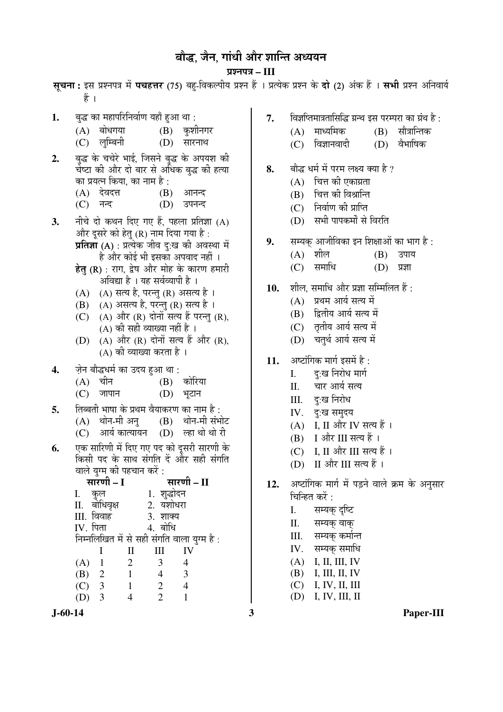## बौद्ध, जैन, गांधी और शान्ति अध्ययन

¯ÖÏ¿®Ö¯Ö¡Ö **– III** सचना: इस प्रश्नपत्र में **पचहत्तर** (75) बह-विकल्पीय प्रश्न हैं । प्रत्येक प्रश्न के **दो** (2) अंक हैं । सभी प्रश्न अनिवार्य

1. बुद्ध का महापरिनिर्वाण यहाँ हुआ था :  $(A)$  बोधगया  $(B)$  कशीनगर (C) लुम्बिनी (D) सारनाथ 7. • विज्ञप्तिमात्रतासिद्धि ग्रन्थ इस परम्परा का ग्रंथ है :  $(A)$  माध्यमिक  $(B)$  सौत्रान्तिक हैं ।

- 2. बद्ध के चचेरे भाई, जिसने बद्ध के अपयश की चेष्टा की और दो बार से अधिक बद्ध की हत्या का प्रयत्न किया. का नाम है :
	- (A) देवदत्त (B) आनन्द
	- (C) नन्द (D) उपनन्द
- **3.** नीचे दो कथन दिए गए हैं. पहला प्रतिज्ञा (A) और दुसरे को हेत् (R) नाम दिया गया है:  $\overline{\mathbf{y}}$ तिज्ञा (A) : प्रत्येक जीव द:ख की अवस्था में
	- है और कोई भी इसका अपवाद नहीं ।
	- हेत (R) : राग, द्वेष और मोह के कारण हमारी अविद्या है । यह सर्वव्यापी है ।
	- $(A)$   $(A)$  सत्य है, परन्त $(R)$  असत्य है।
	- $(B)$   $(A)$  असत्य है, परन्तु  $(R)$  सत्य है ।
	- (C)  $(A)$  और  $(R)$  दोनों सत्य हैं परन्तु (R),  $(A)$  की सही व्याख्या नहीं है ।
	- $(D)$   $(A)$  और  $(R)$  दोनों सत्य हैं और  $(R)$ , (A) की व्याख्या करता है ।
- **4.** •ÖÌê®Ö ²ÖÖî¨ü¬Ö´ÖÔ ÛúÖ ˆ¤üµÖ Æãü†Ö £ÖÖ :
	- $(A)$  चीन  $(B)$
	- (C) जापान (D) भुटान
- **5.** तिब्बती भाषा के प्रथम वैयाकरण का नाम है :<br>(A) थोन-मी अन (B) थोन-मी संभोट
	- $(A)$  थोन-मी अन
	- $(C)$  आर्य कात्यायन  $(D)$  ल्हा थो थो री
- **6.** एक सारिणी में दिए गए पद को दुसरी सारणी के किसी पद के साथ संगति दें और सही संगति
- वाले युग्म की पहचान करें :<br>सारणी I ÃÖÖ¸üÞÖß **– I** ÃÖÖ¸üÞÖß **– II**  I. Ûãú»Ö 1. ¿Öã¨üÖê¤ü®Ö II. बोधिवृक्ष 2. यशोध<br>III. विवाह 3. शाक्य III. ×¾Ö¾ÖÖÆü 3. ¿ÖÖŒµÖ  $IV.$  पिता निम्नलिखित में से सही संगति वाला युग्म है : I II III IV (A) 1 2 3 4 (B) 2 1 4 3 (C) 3 1 2 4 (D) 3 4 2 1
- 
- $(C)$  विज्ञानवादी  $(D)$  वैभाषिक
- 8. बौद्ध धर्म में परम लक्ष्य क्या है ?
	- $(A)$  चित्त की एकाग्रता
	- (B) चित्त की विश्रान्ति
	- $(C)$  निर्वाण की प्राप्ति
	- (D) सभी पापकर्मों से विरति
- 9. सम्यक् आजीविका इन शिक्षाओं का भाग है:
	- $(A)$  शील  $(B)$  उपाय
	- $(C)$  समाधि  $(D)$  प्रज्ञा
- 10. शील, समाधि और प्रज्ञा सम्मिलित हैं:
	- $(A)$  प्रथम आर्य सत्य में
	- (B) हितीय आर्य सत्य में
	- (C) तृतीय आर्य सत्य में
	- (D) चतर्थ आर्य सत्य में
- 11. अष्टांगिक मार्ग इसमें है:
	- I. द:ख निरोध मार्ग
	- II. चार आर्य सत्य
	- III. द:ख निरोध
	- IV. द:ख समदय
	- $(A)$  I, II और IV सत्य हैं।
	- $(B)$  I और III सत्य हैं।
	- $(C)$  I, II और III सत्य हैं।
	- (D) II और III सत्य हैं।
- 12. अष्टांगिक मार्ग में पड़ने वाले क्रम के अनुसार चिन्हित करें $\cdot$ 
	- I. सम्यक दष्टि
	- II. सम्यक वाक
	- III. सम्यक् कर्मान्त
	- IV. सम्यक् समाधि
	- (A) I, II, III, IV
	- (B) I, III, II, IV
	- (C) I, IV, II, III
	- (D) I, IV, III, II
- **J-60-14 3 Paper-III**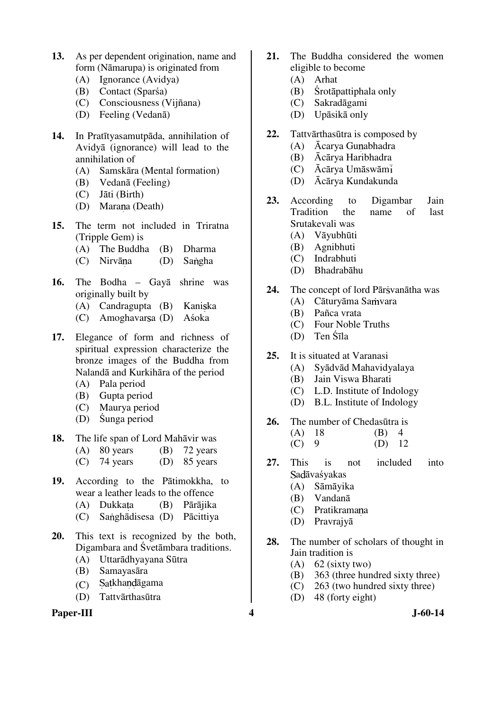- **13.** As per dependent origination, name and form (Nāmarupa) is originated from
	- (A) Ignorance (Avidya)
	- (B) Contact (Sparśa)
	- (C) Consciousness (Vijñana)
	- (D) Feeling (Vedanā)
- **14.** In Pratītyasamutpāda, annihilation of Avidyā (ignorance) will lead to the annihilation of
	- (A) Samskāra (Mental formation)
	- (B) Vedanā (Feeling)
	- (C) Jāti (Birth)
	- (D) Marana (Death)
- **15.** The term not included in Triratna (Tripple Gem) is
	- (A) The Buddha (B) Dharma
	- (C) Nirvāna (D) Sangha
- **16.** The Bodha Gayā shrine was originally built by
	- $(A)$  Candragupta  $(B)$  Kaniska
	- (C) Amoghavarsa (D) Aśoka
- **17.** Elegance of form and richness of spiritual expression characterize the bronze images of the Buddha from Nalandā and Kurkihāra of the period
	- (A) Pala period
	- (B) Gupta period
	- (C) Maurya period
	- (D) Śunga period
- **18.** The life span of Lord Mahāvir was
	- (A) 80 years (B) 72 years
	- (C) 74 years (D) 85 years
- **19.** According to the Pātimokkha, to wear a leather leads to the offence
	- (A) Dukkata (B) Pārājika
	- (C) Sanghādisesa (D) Pācittiya
- **20.** This text is recognized by the both, Digambara and Śvetāmbara traditions.
	- (A) Uttarādhyayana Sūtra
	- (B) Samayasāra
	- $(C)$  Satkhandāgama
	- (D) Tattvārthasūtra

### **Paper-III 4 J-60-14**

- **21.** The Buddha considered the women eligible to become
	- (A) Arhat
	- (B) Śrotāpattiphala only
	- (C) Sakradāgami
	- (D) Upāsikā only
- **22.** Tattvārthasūtra is composed by
	- (A) Ācarya Gunabhadra
	- (B) Ācārya Haribhadra
	- (C) Ācārya Umāswām
	- (D) Ācārya Kundakunda
- **23.** According to Digambar Jain Tradition the name of last Srutakevali was
	- (A) Vāyubhūti
	- (B) Agnibhuti
	- (C) Indrabhuti
	- (D) Bhadrabāhu
- 24. The concept of lord Pār ivanātha was
	- (A) Cāturvāma Samvara
	- (B) Pañca vrata
	- (C) Four Noble Truths
	- (D) Ten Śīla
- **25.** It is situated at Varanasi
	- (A) Syādvād Mahavidyalaya
	- (B) Jain Viswa Bharati
	- (C) L.D. Institute of Indology
	- (D) B.L. Institute of Indology
- **26.** The number of Chedasūtra is
	- (A) 18 (B) 4  $(C) 9$   $(D) 12$
- **27.** This is not included into Sadāvaśyakas
	- (A) Sāmāyika
	- (B) Vandanā
	- (C) Pratikramana
	- (D) Pravrajyā
- **28.** The number of scholars of thought in Jain tradition is
	- (A) 62 (sixty two)
	- (B) 363 (three hundred sixty three)
	- (C) 263 (two hundred sixty three)
	- (D) 48 (forty eight)
-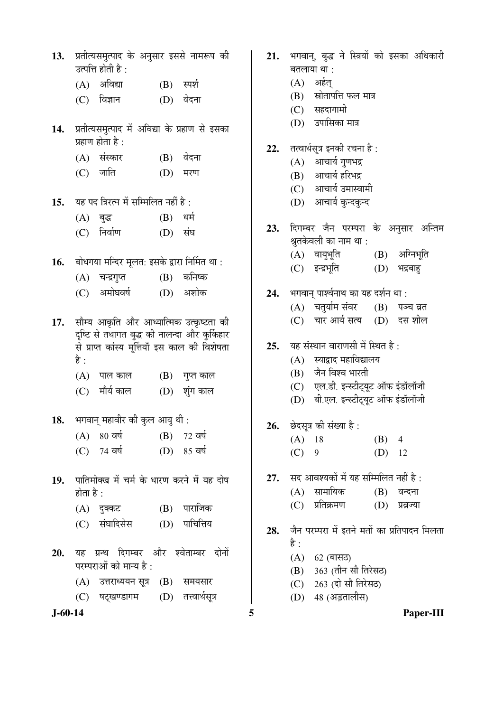| 13.           | उत्पत्ति होती है:                                                                                | प्रतीत्यसमुत्पाद के अनुसार इससे नामरूप की | 21. | भगवान्, बुद्ध ने स्त्रियों को इसका अधिकारी<br>बतलाया था :      |  |  |
|---------------|--------------------------------------------------------------------------------------------------|-------------------------------------------|-----|----------------------------------------------------------------|--|--|
|               | $(A)$ अविद्या                                                                                    | $(B)$ स्पर्श                              |     | अर्हत्<br>(A)                                                  |  |  |
|               | विज्ञान<br>(C)                                                                                   | वेदना<br>(D)                              |     | स्रोतापत्ति फल मात्र<br>(B)                                    |  |  |
|               |                                                                                                  |                                           |     | सहदागामी<br>(C)                                                |  |  |
| 14.           | प्रतीत्यसमुत्पाद में अविद्या के प्रहाण से इसका<br>प्रहाण होता है :                               |                                           |     | उपासिका मात्र<br>(D)                                           |  |  |
|               |                                                                                                  |                                           | 22. | तत्वार्थसूत्र इनकी रचना है :                                   |  |  |
|               | (A) संस्कार                                                                                      | (B) वेदना                                 |     | आचार्य गुणभद्र<br>(A)                                          |  |  |
|               | जाति<br>(C)                                                                                      | (D)<br>मरण                                |     | आचार्य हरिभद्र<br>(B)                                          |  |  |
|               |                                                                                                  |                                           |     | (C) आचार्य उमास्वामी                                           |  |  |
| 15.           | यह पद त्रिरत्न में सम्मिलित नहीं है :                                                            |                                           |     | आचार्य कुन्दकुन्द<br>(D)                                       |  |  |
|               | $(A)$ बुद्ध                                                                                      | (B)<br>धर्म                               |     |                                                                |  |  |
|               | निर्वाण<br>(C)                                                                                   | संघ<br>(D)                                | 23. | दिगम्बर जैन परम्परा के अनुसार अन्तिम<br>श्रुतकेवली का नाम था : |  |  |
| 16.           | बोधगया मन्दिर मूलत: इसके द्वारा निर्मित था:                                                      |                                           |     | अग्निभूति<br>(A) वायुभूति<br>(B)                               |  |  |
|               |                                                                                                  | कनिष्क                                    |     | (C) इन्द्रभूति<br>(D)<br>भद्रबाहु                              |  |  |
|               | (A) चन्द्रगुप्त                                                                                  | (B)                                       |     |                                                                |  |  |
|               | अमोघवर्ष<br>(C)                                                                                  | अशोक<br>(D)                               | 24. | भगवान् पार्श्वनाथ का यह दर्शन था :                             |  |  |
|               |                                                                                                  |                                           |     | (A) = चतुर्याम संवर<br>$(B)$ पञ्च व्रत                         |  |  |
| 17.           |                                                                                                  | सौम्य आकृति और आध्यात्मिक उत्कृष्टता की   |     | चार आर्य सत्य (D) दस शील<br>(C)                                |  |  |
|               | दृष्टि से तथागत बुद्ध की नालन्दा और कुर्किहार<br>से प्राप्त कांस्य मूर्त्तियाँ इस काल की विशेषता |                                           | 25. | यह संस्थान वाराणसी में स्थित है :                              |  |  |
|               | है :                                                                                             |                                           |     | स्याद्वाद महाविद्यालय<br>(A)                                   |  |  |
|               |                                                                                                  |                                           |     | जैन विश्व भारती<br>(B)                                         |  |  |
|               | पाल काल<br>(A)                                                                                   | (B)<br>गुप्त काल                          |     | एल.डी. इन्स्टीट्यूट ऑफ इंडॉलॉजी<br>(C)                         |  |  |
|               | मौर्य काल<br>(C)                                                                                 | शुंग काल<br>(D)                           |     | बी.एल. इन्स्टीट्यूट ऑफ इंडॉलॉजी<br>(D)                         |  |  |
| 18.           | भगवान् महावीर की कुल आयु थी :                                                                    |                                           |     |                                                                |  |  |
|               | 80 वर्ष<br>(A)                                                                                   | (B)<br>72 वर्ष                            | 26. | छेदसूत्र की संख्या है :<br>$\overline{4}$                      |  |  |
|               | 74 वर्ष<br>(C)                                                                                   | (D) 85 वर्ष                               |     | $(A)$ 18<br>(B)<br>(C)<br>(D)<br>9<br>12                       |  |  |
|               |                                                                                                  |                                           |     |                                                                |  |  |
| 19.           | पातिमोक्ख में चर्म के धारण करने में यह दोष                                                       |                                           | 27. | सद आवश्यकों में यह सम्मिलित नहीं है :                          |  |  |
|               | होता है :                                                                                        |                                           |     | सामायिक<br>(A)<br>(B)<br>वन्दना                                |  |  |
|               | (A) दुक्कट                                                                                       | $(B)$ पाराजिक                             |     | प्रतिक्रमण<br>(C)<br>(D)<br>प्रव्रज्या                         |  |  |
|               | संघादिसेस<br>(C)                                                                                 | पाचित्तिय<br>(D)                          |     |                                                                |  |  |
|               |                                                                                                  |                                           | 28. | जैन परम्परा में इतने मतों का प्रतिपादन मिलता<br>है :           |  |  |
| 20.           |                                                                                                  | यह ग्रन्थ दिगम्बर और श्वेताम्बर दोनों     |     | (A)<br>62 (बासठ)                                               |  |  |
|               | परम्पराओं को मान्य है :                                                                          |                                           |     | 363 (तीन सौ तिरेसठ)<br>(B)                                     |  |  |
|               | (A) उत्तराध्ययन सूत्र                                                                            | (B)<br>समयसार                             |     | 263 (दो सौ तिरेसठ)<br>(C)                                      |  |  |
|               | षट्खण्डागम<br>(C)                                                                                | तत्त्वार्थसूत्र<br>(D)                    |     | 48 (अड़तालीस)<br>(D)                                           |  |  |
| $J - 60 - 14$ |                                                                                                  |                                           | 5   | Paper-III                                                      |  |  |
|               |                                                                                                  |                                           |     |                                                                |  |  |

- बद्ध ने स्त्रियों को इसका अधिकारी ा था $\,$  : अर्हत् स्रोतापत्ति फल मात्र
	- सहदागामी
	- उपासिका मात्र
- .<br>यूत्र इनकी रचना है :
	- आचार्य गुणभद्र
	- आचार्य हरिभद्र
	- आचार्य उमास्वामी
	- आचार्य कुन्दकुन्द

- (C) ‡®¦ü³Öæ×ŸÖ (D) ³Ö¦ü²ÖÖÆãü
- <u>पार्श्वनाथ का यह दर्शन था:</u> चतुर्याम संवर (B) पञ्च व्रत चार आर्य सत्य (D) दस शील
- थान वाराणसी में स्थित है :
	- स्याद्राद महाविद्यालय
	- जैन विश्व भारती
	- .<br>एल.डी. इन्स्टीट्यूट ऑफ इंडॉलॉजी
	- ्<br>बी.एल. इन्स्टीट्यूट ऑफ इंडॉलॉजी
- <u>की</u> संख्या है :
	- $18 \t\t (B) 4$ (C) 9 (D) 12
- .<br>वश्यकों में यह सम्मिलित नहीं है :
	- सामायिक (B) वन्दना
	- प्रतिक्रमण (D) प्रव्रज्या
- **म्परा में इतने मतों का प्रतिपादन मिलता** 
	- 62 (बासठ)
	- 363 (तीन सौ तिरेसठ)
	- 263 (दो सौ तिरेसठ)
	- 48 (अड़तालीस)
-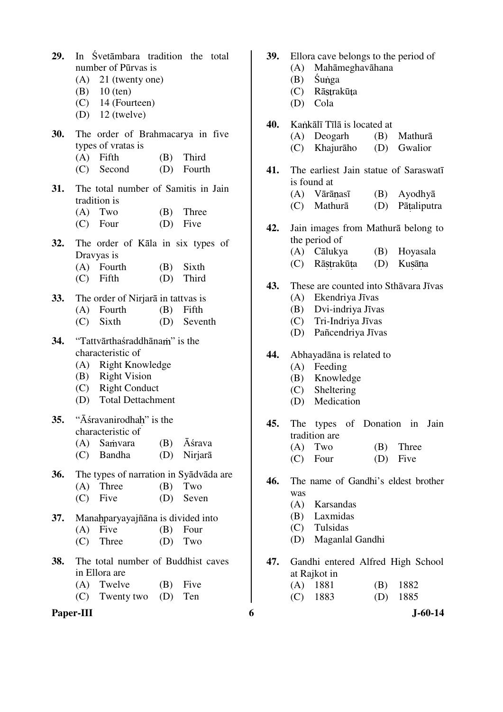| 29.        | In Svetambara tradition the total<br>number of Pūrvas is<br>$(A)$ 21 (twenty one)<br>(B) $10$ (ten)<br>$(C)$ 14 (Fourteen)<br>(D) $12$ (twelve) |                                    |  |                                        |  |  |  |  |
|------------|-------------------------------------------------------------------------------------------------------------------------------------------------|------------------------------------|--|----------------------------------------|--|--|--|--|
| <b>30.</b> |                                                                                                                                                 |                                    |  | The order of Brahmacarya in five       |  |  |  |  |
|            | types of vratas is                                                                                                                              |                                    |  |                                        |  |  |  |  |
|            | $(A)$ Fifth                                                                                                                                     |                                    |  | (B) Third                              |  |  |  |  |
|            |                                                                                                                                                 | (C) Second                         |  | (D) Fourth                             |  |  |  |  |
| 31.        | The total number of Samitis in Jain                                                                                                             |                                    |  |                                        |  |  |  |  |
|            | tradition is                                                                                                                                    |                                    |  |                                        |  |  |  |  |
|            | $(A)$ Two                                                                                                                                       |                                    |  | (B) Three                              |  |  |  |  |
|            | $(C)$ Four                                                                                                                                      |                                    |  | (D) Five                               |  |  |  |  |
| 32.        |                                                                                                                                                 |                                    |  | The order of Kala in six types of      |  |  |  |  |
|            | Dravyas is                                                                                                                                      |                                    |  |                                        |  |  |  |  |
|            | (A) Fourth                                                                                                                                      |                                    |  | (B) Sixth                              |  |  |  |  |
|            | $(C)$ Fifth                                                                                                                                     |                                    |  | (D) Third                              |  |  |  |  |
| <b>33.</b> |                                                                                                                                                 | The order of Nirjara in tattvas is |  |                                        |  |  |  |  |
|            |                                                                                                                                                 | (A) Fourth                         |  | $(B)$ Fifth                            |  |  |  |  |
|            | $(C)$ Sixth                                                                                                                                     |                                    |  | (D) Seventh                            |  |  |  |  |
| 34.        | "Tattvārthaśraddhānam" is the                                                                                                                   |                                    |  |                                        |  |  |  |  |
|            |                                                                                                                                                 | characteristic of                  |  |                                        |  |  |  |  |
|            |                                                                                                                                                 | (A) Right Knowledge                |  |                                        |  |  |  |  |
|            |                                                                                                                                                 | (B) Right Vision                   |  |                                        |  |  |  |  |
|            |                                                                                                                                                 | (C) Right Conduct                  |  |                                        |  |  |  |  |
|            | (D) Total Dettachment                                                                                                                           |                                    |  |                                        |  |  |  |  |
|            |                                                                                                                                                 | 35. "Āśravanirodhah" is the        |  |                                        |  |  |  |  |
|            | characteristic of                                                                                                                               |                                    |  |                                        |  |  |  |  |
|            |                                                                                                                                                 | (A) Samvara                        |  | $(B)$ $\bar{A}$ <i>śrava</i>           |  |  |  |  |
|            | (C) Bandha                                                                                                                                      |                                    |  | (D) Nirjarā                            |  |  |  |  |
| <b>36.</b> |                                                                                                                                                 |                                    |  | The types of narration in Syadvada are |  |  |  |  |
|            | $(A)$ Three                                                                                                                                     |                                    |  | $(B)$ Two                              |  |  |  |  |
|            | $(C)$ Five                                                                                                                                      |                                    |  | (D) Seven                              |  |  |  |  |
| 37.        |                                                                                                                                                 | Manahparyayajñāna is divided into  |  |                                        |  |  |  |  |
|            | $(A)$ Five                                                                                                                                      |                                    |  | $(B)$ Four                             |  |  |  |  |
|            | (C)                                                                                                                                             | Three                              |  | $(D)$ Two                              |  |  |  |  |
| 38.        |                                                                                                                                                 |                                    |  | The total number of Buddhist caves     |  |  |  |  |
|            | in Ellora are                                                                                                                                   |                                    |  |                                        |  |  |  |  |
|            | (A) Twelve                                                                                                                                      |                                    |  | $(B)$ Five                             |  |  |  |  |
|            |                                                                                                                                                 | (C) Twenty two                     |  | (D) Ten                                |  |  |  |  |

#### **Paper-III 6** J-60-14

- **39.** Ellora cave belongs to the period of
	- (A) Mahāmeghavāhana
	- $(B)$  Śunga
	- (C) Rāstrakūta
	- (D) Cola
- 40. Kankālī Tīlā is located at
	- (A) Deogarh (B) Mathurā
	- (C) Khajurāho (D) Gwalior
- **41.** The earliest Jain statue of Saraswatī is found at
	- (A) Vārānasī (B) Ayodhyā
	- (C) Mathurā (D) Pātaliputra
- **42.** Jain images from Mathurā belong to the period of
	- (A) Cālukya (B) Hoyasala
	- (C) Rāstrakūta (D) Kusāna
- **43.** These are counted into Sthāvara Jīvas
	- (A) Ekendriya Jīvas
	- (B) Dvi-indriya Jīvas
	- (C) Tri-Indriya Jīvas
	- (D) Pañcendriya Jīvas
- **44.** Abhayadāna is related to
	- (A) Feeding
	- (B) Knowledge
	- (C) Sheltering
	- (D) Medication
- **45.** The types of Donation in Jain tradition are<br> $(A)$  Two
	- $(B)$  Three
	- (C) Four (D) Five
- **46.** The name of Gandhi's eldest brother was
	- (A) Karsandas
	- (B) Laxmidas
	- (C) Tulsidas
	- (D) Maganlal Gandhi
- **47.** Gandhi entered Alfred High School at Rajkot in
	- (A) 1881 (B) 1882 (C) 1883 (D) 1885
		-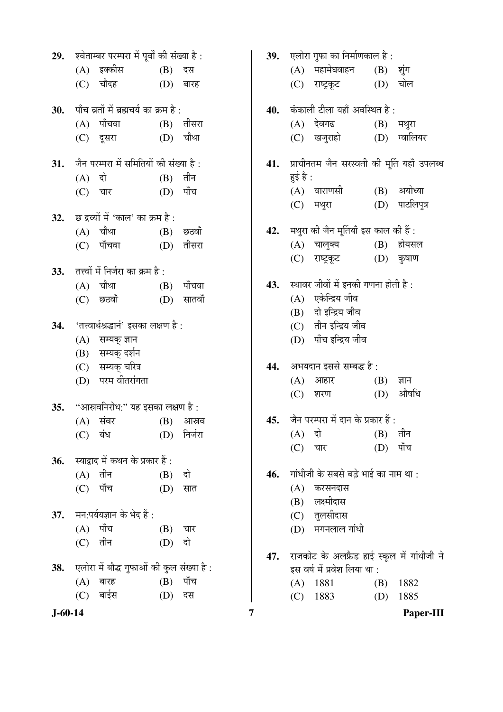| 29.           |          | श्वेताम्बर परम्परा में पूर्वों की संख्या है : |     |             | 39. | एलोरा गुफा का निर्माणकाल है : |                                             |     |              |
|---------------|----------|-----------------------------------------------|-----|-------------|-----|-------------------------------|---------------------------------------------|-----|--------------|
|               |          | (A) इक्कीस                                    | (B) | दस          |     | (A)                           | महामेघवाहन                                  | (B) | शुंग         |
|               |          | (C) चौदह                                      |     | (D) बारह    |     |                               | (C) राष्ट्रकूट                              |     | $(D)$ चोल    |
| 30.           |          | पाँच व्रतों में ब्रह्मचर्य का क्रम है :       |     |             | 40. |                               | कंकाली टीला यहाँ अवस्थित है:                |     |              |
|               |          | (A) पाँचवा                                    |     | $(B)$ तीसरा |     |                               | (A) देवगढ                                   | (B) | मथुरा        |
|               |          | (C) दूसरा                                     |     | $(D)$ चौथा  |     |                               | (C) खजुराहो                                 |     | (D) ग्वालियर |
| 31.           |          | जैन परम्परा में समितियों की संख्या है :       |     |             | 41. |                               | प्राचीनतम जैन सरस्वती की मूर्ति यहाँ उपलब्ध |     |              |
|               | $(A)$ दो |                                               | (B) | तीन         |     | हुई है :                      |                                             |     |              |
|               | (C)      | चार                                           | (D) | पाँच        |     |                               | (A) वाराणसी                                 |     | (B) अयोध्या  |
| 32.           |          | छ द्रव्यों में 'काल' का क्रम है :             |     |             |     |                               | (C) मथुरा                                   | (D) | पाटलिपुत्र   |
|               |          | (A) चौथा                                      |     | $(B)$ छठवाँ | 42. |                               | मथुरा की जैन मूर्तियाँ इस काल की हैं :      |     |              |
|               |          | (C) पाँचवा                                    |     | $(D)$ तीसरा |     | (A)                           | चालुक्य (B) होयसल                           |     |              |
|               |          |                                               |     |             |     | (C)                           | राष्ट्रकूट                                  |     | $(D)$ कुषाण  |
| 33.           |          | तत्त्वों में निर्जरा का क्रम है :             |     |             |     |                               |                                             |     |              |
|               |          | $(A)$ चौथा                                    |     | (B) पाँचवा  | 43. |                               | स्थावर जीवों में इनकी गणना होती है :        |     |              |
|               |          | (C) छठवाँ                                     | (D) | सातवाँ      |     | (A)                           | एकेन्द्रिय जीव                              |     |              |
|               |          |                                               |     |             |     |                               | (B) दो इन्द्रिय जीव                         |     |              |
| 34.           |          | 'तत्त्वार्थश्रद्धानं' इसका लक्षण है :         |     |             |     |                               | (C) तीन इन्द्रिय जीव                        |     |              |
|               |          | (A) सम्यक् ज्ञान                              |     |             |     |                               | (D) पाँच इन्द्रिय जीव                       |     |              |
|               | (B)      | सम्यक् दर्शन                                  |     |             |     |                               |                                             |     |              |
|               |          | (C) सम्यक् चरित्र                             |     |             | 44. |                               | अभयदान इससे सम्बद्ध है :                    |     |              |
|               |          | (D) परम वीतरांगता                             |     |             |     |                               | $(A)$ आहार                                  | (B) | ज्ञान        |
| 35.           |          | "आस्रवनिरोध:" यह इसका लक्षण है :              |     |             |     | (C)                           | शरण                                         | (D) | औषधि         |
|               |          | $(A)$ संवर                                    | (B) | आस्रव       | 45. |                               | जैन परम्परा में दान के प्रकार हैं :         |     |              |
|               | (C)      | बंध                                           | (D) | निर्जरा     |     | (A)                           | दो                                          | (B) | तीन          |
|               |          |                                               |     |             |     | (C)                           | चार                                         | (D) | पाँच         |
| 36.           |          | स्याद्वाद में कथन के प्रकार हैं :             |     |             |     |                               |                                             |     |              |
|               |          | $(A)$ तीन                                     | (B) | दो          | 46. |                               | गांधीजी के सबसे बड़े भाई का नाम था :        |     |              |
|               | (C)      | पाँच                                          | (D) | सात         |     | (A)                           | करसनदास                                     |     |              |
|               |          |                                               |     |             |     | (B)                           | लक्ष्मीदास                                  |     |              |
| 37.           |          | मन:पर्ययज्ञान के भेद हैं :                    |     |             |     | (C)                           | तुलसीदास                                    |     |              |
|               |          | $(A)$ पाँच                                    | (B) | चार         |     | (D)                           | मगनलाल गांधी                                |     |              |
|               | (C)      | तीन                                           | (D) | दो          |     |                               |                                             |     |              |
|               |          |                                               |     |             | 47. |                               | राजकोट के अलफ्रैड हाई स्कूल में गांधीजी ने  |     |              |
| 38.           |          | एलोरा में बौद्ध गुफाओं की कुल संख्या है :     |     |             |     |                               | इस वर्ष में प्रवेश लिया था :                |     |              |
|               | (A)      | बारह                                          | (B) | पाँच        |     | (A)                           | 1881                                        | (B) | 1882         |
|               | (C)      | बाईस                                          | (D) | दस          |     | (C)                           | 1883                                        | (D) | 1885         |
| $J - 60 - 14$ |          |                                               |     |             | 7   |                               |                                             |     | Paper-III    |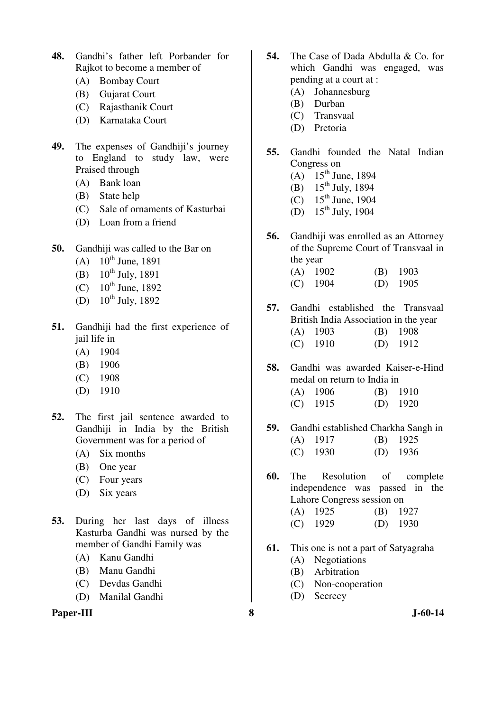- **48.** Gandhi's father left Porbander for Rajkot to become a member of
	- (A) Bombay Court
	- (B) Gujarat Court
	- (C) Rajasthanik Court
	- (D) Karnataka Court
- **49.** The expenses of Gandhiji's journey to England to study law, were Praised through
	- (A) Bank loan
	- (B) State help
	- (C) Sale of ornaments of Kasturbai
	- (D) Loan from a friend
- **50.** Gandhiji was called to the Bar on
	- (A)  $10^{th}$  June, 1891
	- (B)  $10^{th}$  July, 1891
	- (C)  $10^{th}$  June, 1892
	- (D)  $10^{th}$  July, 1892
- **51.** Gandhiji had the first experience of jail life in
	- (A) 1904
	- (B) 1906
	- (C) 1908
	- (D) 1910
- **52.** The first jail sentence awarded to Gandhiji in India by the British Government was for a period of
	- (A) Six months
	- (B) One year
	- (C) Four years
	- (D) Six years
- **53.** During her last days of illness Kasturba Gandhi was nursed by the member of Gandhi Family was
	- (A) Kanu Gandhi
	- (B) Manu Gandhi
	- (C) Devdas Gandhi
	- (D) Manilal Gandhi

### **Paper-III 8 J-60-14**

- **54.** The Case of Dada Abdulla & Co. for which Gandhi was engaged, was pending at a court at :
	- (A) Johannesburg
	- (B) Durban
	- (C) Transvaal
	- (D) Pretoria
- **55.** Gandhi founded the Natal Indian Congress on
	- $(A)$  15<sup>th</sup> June, 1894
	- (B)  $15^{th}$  July, 1894
	- $(C)$  15<sup>th</sup> June, 1904
	- (D)  $15^{th}$  July, 1904
- **56.** Gandhiji was enrolled as an Attorney of the Supreme Court of Transvaal in the year
	- (A) 1902 (B) 1903 (C) 1904 (D) 1905
- **57.** Gandhi established the Transvaal British India Association in the year (A) 1903 (B) 1908 (C) 1910 (D) 1912
- **58.** Gandhi was awarded Kaiser-e-Hind medal on return to India in (A) 1906 (B) 1910
	- (C) 1915 (D) 1920
- **59.** Gandhi established Charkha Sangh in (A) 1917 (B) 1925 (C) 1930 (D) 1936
- **60.** The Resolution of complete independence was passed in the Lahore Congress session on (A) 1925 (B) 1927
	- (C) 1929 (D) 1930
- **61.** This one is not a part of Satyagraha
	- (A) Negotiations
	- (B) Arbitration
	- (C) Non-cooperation
	- (D) Secrecy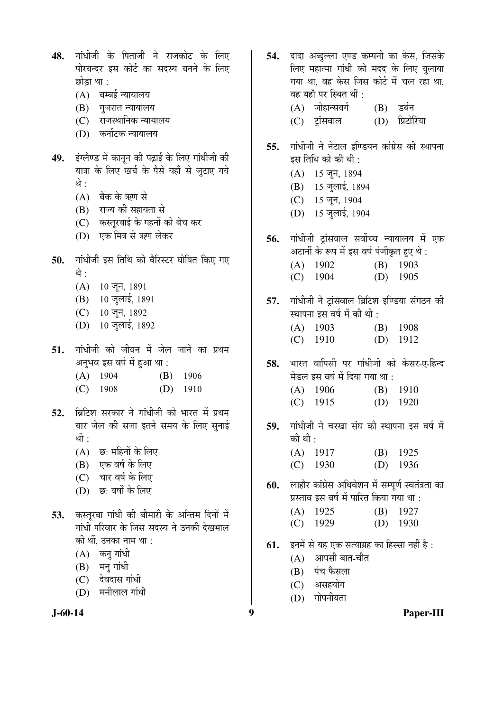- 48. गांधीजी के पिताजी ने राजकोट के लिए पोरबन्दर इस कोर्ट का सदस्य बनने के लिए छोडा था $:$ 
	- $(A)$  बम्बई न्यायालय
	- (B) गुजरात न्यायालय
	- (C) राजस्थानिक न्यायालय
	- (D) कर्नाटक न्यायालय
- 49. **इंग्लैण्ड में कानन की पढाई के लिए गांधी**जी की यात्रा के लिए खर्च के पैसे यहाँ से जुटाए गये थे :
	- $(A)$  बैंक के ऋण से
	- (B) राज्य की सहायता से
	- (C) कस्तुरबाई के गहनों को बेच कर
	- (D) एक मित्र से ऋण लेकर
- 50. गांधीजी इस तिथि को बैरिस्टर घोषित किए गए थे :
	- $(A)$  10 जून, 1891
	- (B) 10 जुलाई, 1891
	- (C) 10 जून, 1892
	- (D) 10 जुलाई, 1892
- 51. गांधीजी को जीवन में जेल जाने का प्रथम अनुभव इस वर्ष में हुआ था :
	- (A) 1904 (B) 1906
	- (C) 1908 (D) 1910
- 52. ब्रिटिश सरकार ने गांधीजी को भारत में प्रथम बार जेल की सजा इतने समय के लिए सनाई थी :
	- $(A)$  छ: महिनों के लिए
	- $(B)$  एक वर्ष के लिए
	- (C) चार वर्ष के लिए
	- (D) छ: वर्षों के लिए
- 53. कस्तुरबा गांधी की बीमारी के अन्तिम दिनों में गांधी परिवार के जिस सदस्य ने उनकी देखभाल की थीं, उनका नाम था :
	- $(A)$  कन् गांधी
	- $(B)$  मन् गांधी
	- (C) देवदास गांधी
	- $(D)$  मनीलाल गांधी



- 54. दादा अब्दल्ला एण्ड कम्पनी का केस. जिसके लिए महात्मा गांधी को मदद के लिए बलाया गया था. वह केस जिस कोर्ट में चल रहा था. वह यहाँ पर स्थित थीं : (A) जोहान्सबर्ग (B) डर्बन
	- (C) ट्रांसवाल (D) प्रिटोरिया
- 55. गांधीजी ने नेटाल इण्डियन कांग्रेस की स्थापना इस तिथि को की थी :
	- $(A)$  15 जून, 1894
	- (B) 15 जुलाई, 1894
	- (C) 15 जून, 1904
	- (D) 15 जुलाई, 1904
- **56.** गांधीजी ट्रांसवाल सर्वोच्च न्यायालय में एक अटार्नी के रूप में इस वर्ष पंजीकृत हुए थे : (A) 1902 (B) 1903 (C) 1904 (D) 1905
- 57. गांधीजी ने ट्रांसवाल ब्रिटिश इण्डिया संगठन की स्थापना इस वर्ष में की थी :
	- (A) 1903 (B) 1908 (C) 1910 (D) 1912
- 58. भारत वापिसी पर गांधीजी को केसर-ए-हिन्द मेडल इस वर्ष में दिया गया था :

| $(A)$ 1906 | $(B)$ 1910 |
|------------|------------|
| $(C)$ 1915 | $(D)$ 1920 |

- 59. गांधीजी ने चरखा संघ की स्थापना इस वर्ष में की थी $\cdot$ 
	- (A) 1917 (B) 1925 (C) 1930 (D) 1936
- **60.** लाहौर कांग्रेस अधिवेशन में सम्पूर्ण स्वतंत्रता का प्रस्ताव इस वर्ष में पारित किया गया था :
	- (A) 1925 (B) 1927
	- (C) 1929 (D) 1930
- **61.** इनमें से यह एक सत्याग्रह का हिस्सा नहीं है :
	- $(A)$  आपसी बात-चीत
	- (B) पंच फैसला
	- (C) असहयोग
	- $(D)$  गोपनीयता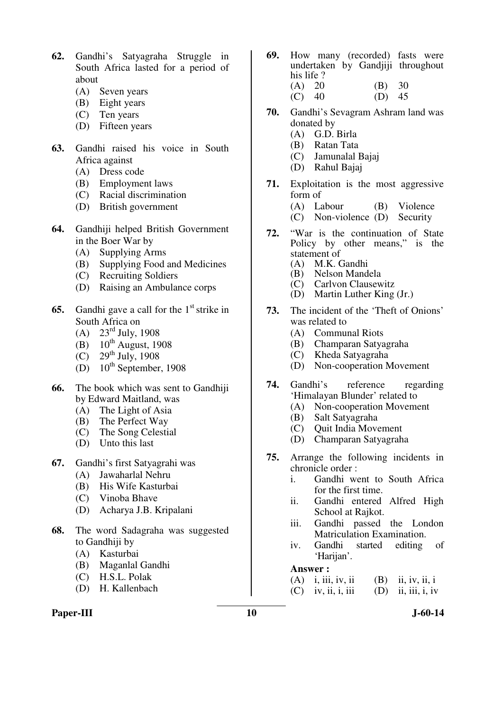- **62.** Gandhi's Satyagraha Struggle in South Africa lasted for a period of about
	- (A) Seven years
	- (B) Eight years
	- (C) Ten years
	- (D) Fifteen years
- **63.** Gandhi raised his voice in South Africa against
	- (A) Dress code
	- (B) Employment laws
	- (C) Racial discrimination
	- (D) British government
- **64.** Gandhiji helped British Government in the Boer War by
	- (A) Supplying Arms
	- (B) Supplying Food and Medicines
	- (C) Recruiting Soldiers
	- (D) Raising an Ambulance corps
- **65.** Gandhi gave a call for the 1<sup>st</sup> strike in South Africa on
	- (A)  $23^{\text{rd}}$  July, 1908
	- (B)  $10^{th}$  August, 1908
	- (C)  $29^{th}$  July, 1908
	- (D)  $10^{th}$  September, 1908
- **66.** The book which was sent to Gandhiji by Edward Maitland, was
	- (A) The Light of Asia<br>(B) The Perfect Way
	- The Perfect Way
	- (C) The Song Celestial
	- (D) Unto this last
- **67.** Gandhi's first Satyagrahi was
	- (A) Jawaharlal Nehru
	- (B) His Wife Kasturbai
	- (C) Vinoba Bhave
	- (D) Acharya J.B. Kripalani
- **68.** The word Sadagraha was suggested to Gandhiji by
	- (A) Kasturbai
	- (B) Maganlal Gandhi
	- (C) H.S.L. Polak
	- (D) H. Kallenbach
- Paper-III **10** J-60-14
- **69.** How many (recorded) fasts were undertaken by Gandjiji throughout his life ?
	- (A) 20 (B) 30<br>(C) 40 (D) 45  $(C)$  40
- **70.** Gandhi's Sevagram Ashram land was donated by
	- (A) G.D. Birla
	- (B) Ratan Tata
	- (C) Jamunalal Bajaj
	- (D) Rahul Bajaj
- **71.** Exploitation is the most aggressive form of
	- (A) Labour (B) Violence
	- (C) Non-violence (D) Security
- **72.** "War is the continuation of State Policy by other means," is the statement of  $(A)$  M.K.
	- (A) M.K. Gandhi
	- (B) Nelson Mandela<br>(C) Carlvon Clausew
	- Carlvon Clausewitz
	- (D) Martin Luther King (Jr.)
- **73.** The incident of the 'Theft of Onions' was related to
	- (A) Communal Riots
	- (B) Champaran Satyagraha
	- (C) Kheda Satyagraha
	- (D) Non-cooperation Movement
- **74.** Gandhi's reference regarding 'Himalayan Blunder' related to
	- (A) Non-cooperation Movement
	- (B) Salt Satyagraha
	- (C) Quit India Movement
	- (D) Champaran Satyagraha
- **75.** Arrange the following incidents in chronicle order :
	- i. Gandhi went to South Africa for the first time.
	- ii. Gandhi entered Alfred High School at Rajkot.
	- iii. Gandhi passed the London Matriculation Examination.
	- iv. Gandhi started editing of 'Harijan'.

#### **Answer :**

- (A) i, iii, iv, ii (B) ii, iv, ii, i
- $(C)$  iv, ii, i, iii  $(D)$  ii, iii, i, iv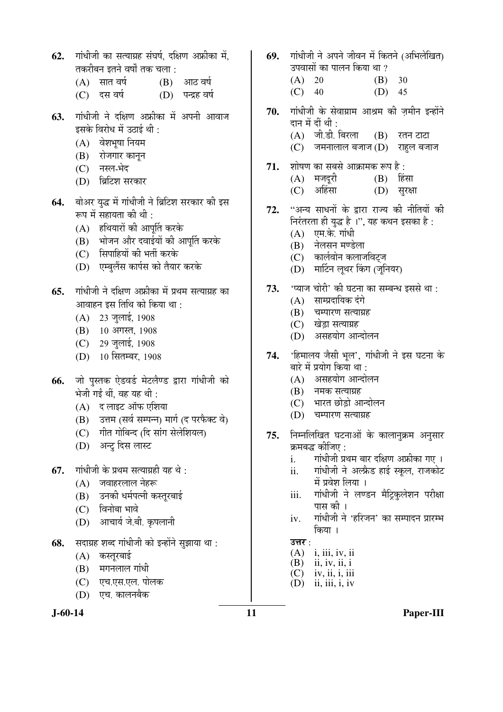- 62. गांधीजी का सत्याग्रह संघर्ष. दक्षिण अफ्रीका में. तकरीबन इतने वर्षों तक चला :
	- $(A)$  सात वर्ष  $(B)$  आठ वर्ष
	- (C) दस वर्ष (D) पन्द्रह वर्ष
- 63. गांधीजी ने दक्षिण अफ्रीका में अपनी आवाज इसके विरोध में उठाई थी  $\cdot$ 
	- $(A)$  वेशभूषा नियम
	- (B) रोजगार कानुन
	- (C) नस्ल-भेद
	- (D) ब्रिटिश सरकार
- **64.** बोअर युद्ध में गांधीजी ने ब्रिटिश सरकार की इस रूप में सहायता की थी :
	- $(A)$  हथियारों की आपूर्ति करके
	- (B) भोजन और दवाईयों की आपत्ति करके
	- (C) सिपाहियों की भर्ती करके
	- (D) एम्बलैंस कार्पस को तैयार करके
- **65.** गांधीजी ने दक्षिण अफ्रीका में प्रथम सत्याग्रह का आवाहन इस तिथि को किया था :
	- (A) 23 जुलाई, 1908
	- (B) 10 अगस्त, 1908
	- (C) 29 जुलाई, 1908
	- (D) 10 सितम्बर, 1908
- 66. जो पुस्तक ऐडवर्ड मेटलैण्ड द्वारा गांधीजी को भेजी गईं थीं. वह यह थी:
	- $(A)$  द लाइट ऑफ एशिया
	- (B) उत्तम (सर्व सम्पन्न) मार्ग (द परफैक्ट वे)
	- (C) गीत गोबिन्द (दि सांग सेलेशियल)
	- (D) अन्टु दिस लास्ट
- **67.** गांधीजी के प्रथम सत्याग्रही यह थे:
	- $(A)$  जवाहरलाल नेहरू
	- (B) उनकी धर्मपत्नी कस्तुरबाई
	- $(C)$  विनोबा भावे
	- (D) आचार्य जे.बी. कृपलानी
- **68.** सदाग्रह शब्द गांधीजी को इन्होंने सुझाया था :
	- (A) कस्तूरबाई
	- $(B)$  मगनलाल गांधी
	- (C) एच.एस.एल. पोलक
	- (D) एच. कालनबैक



- 69. गांधीजी ने अपने जीवन में कितने (अभिलेखित) उपवासों का पालन किया था ?
	- (A) 20 (B) 30  $(C)$  40  $(D)$  45
- 70. गांधीजी के सेवाग्राम आश्रम की ज़मीन इन्होंने दान में दीं थी :  $(A)$  जी.डी. बिरला  $(B)$  रतन टाटा
	- $(C)$  जमनालाल बजाज  $(D)$  राहल बजाज
- 71. शोषण का सबसे आक्रामक रूप है:
	- $(A)$  मजदूरी  $(B)$  हिंसा (C) अहिंसा (D) सुरक्षा
- 72. "अन्य साधनों के द्वारा राज्य की नीतियों की निरंतरता ही युद्ध है ।", यह कथन इसका है:  $(A)$  एम.के. गांधी
	- (B) नेलसन मण्डेला
	- (C) कार्लवोन कलाजविटज
	- (D) मार्टिन लूथर किंग (जूनियर)
- 73. <u>'प्याज चोरी' की घटना का सम्बन्ध इससे था</u> :
	- $(A)$  साम्प्रदायिक दंगे
	- (B) चम्पारण सत्याग्रह
	- (C) खेड़ा सत्याग्रह
	- (D) असहयोग आन्दोलन
- 74. 'हिमालय जैसी भूल', गांधीजी ने इस घटना के बारे में प्रयोग किया था :
	- $(A)$  ) असहयोग आन्दोलन
	- $(B)$  नमक सत्याग्रह
	- $(C)$  भारत छोडो आन्दोलन
	- (D) चम्पारण सत्याग्रह
- **75.** निम्नलिखित घटनाओं के कालानुक्रम अनुसार क्रमबद्ध कीजिए :
	- i. गांधीजी प्रथम बार दक्षिण अफ्रीका गए ।
	- ii. गांधीजी ने अल्फ्रेड हाई स्कुल, राजकोट में प्रवेश लिया ।
	- iii. गांधीजी ने लण्डन मैट्रिकुलेशन परीक्षा पास की ।
	- iv. गांधीजी ने 'हरिजन' का सम्पादन प्रारम्भ किया ।

# उत्तर :<br> $(A)$

- i, iii, iv, ii
- (B) ii, iv, ii, i
- $(C)$  iv, ii, i, iii
- $(D)$  ii, iii, i, iv